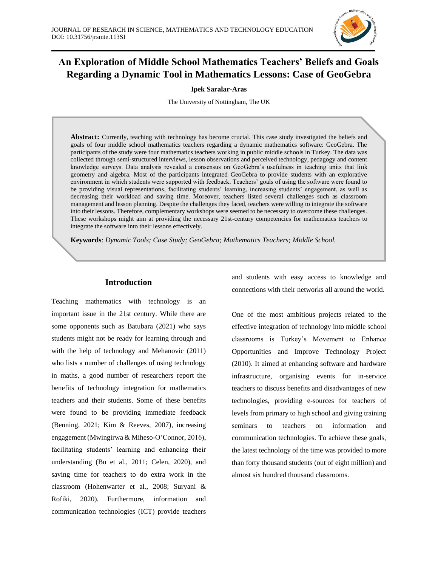

# **An Exploration of Middle School Mathematics Teachers' Beliefs and Goals Regarding a Dynamic Tool in Mathematics Lessons: Case of GeoGebra**

## **Ipek Saralar-Aras**

The University of Nottingham, The UK

**Abstract:** Currently, teaching with technology has become crucial. This case study investigated the beliefs and goals of four middle school mathematics teachers regarding a dynamic mathematics software: GeoGebra. The participants of the study were four mathematics teachers working in public middle schools in Turkey. The data was collected through semi-structured interviews, lesson observations and perceived technology, pedagogy and content knowledge surveys. Data analysis revealed a consensus on GeoGebra's usefulness in teaching units that link geometry and algebra. Most of the participants integrated GeoGebra to provide students with an explorative environment in which students were supported with feedback. Teachers' goals of using the software were found to be providing visual representations, facilitating students' learning, increasing students' engagement, as well as decreasing their workload and saving time. Moreover, teachers listed several challenges such as classroom management and lesson planning. Despite the challenges they faced, teachers were willing to integrate the software into their lessons. Therefore, complementary workshops were seemed to be necessary to overcome these challenges. These workshops might aim at providing the necessary 21st-century competencies for mathematics teachers to integrate the software into their lessons effectively.

**Keywords**: *Dynamic Tools; Case Study; GeoGebra; Mathematics Teachers; Middle School.*

## **Introduction**

Teaching mathematics with technology is an important issue in the 21st century. While there are some opponents such as Batubara (2021) who says students might not be ready for learning through and with the help of technology and Mehanovic (2011) who lists a number of challenges of using technology in maths, a good number of researchers report the benefits of technology integration for mathematics teachers and their students. Some of these benefits were found to be providing immediate feedback (Benning, 2021; Kim & Reeves, 2007), increasing engagement (Mwingirwa & Miheso-O'Connor, 2016), facilitating students' learning and enhancing their understanding (Bu et al., 2011; Celen, 2020), and saving time for teachers to do extra work in the classroom (Hohenwarter et al., 2008; Suryani & Rofiki, 2020). Furthermore, information and communication technologies (ICT) provide teachers and students with easy access to knowledge and connections with their networks all around the world.

One of the most ambitious projects related to the effective integration of technology into middle school classrooms is Turkey's Movement to Enhance Opportunities and Improve Technology Project (2010). It aimed at enhancing software and hardware infrastructure, organising events for in-service teachers to discuss benefits and disadvantages of new technologies, providing e-sources for teachers of levels from primary to high school and giving training seminars to teachers on information and communication technologies. To achieve these goals, the latest technology of the time was provided to more than forty thousand students (out of eight million) and almost six hundred thousand classrooms.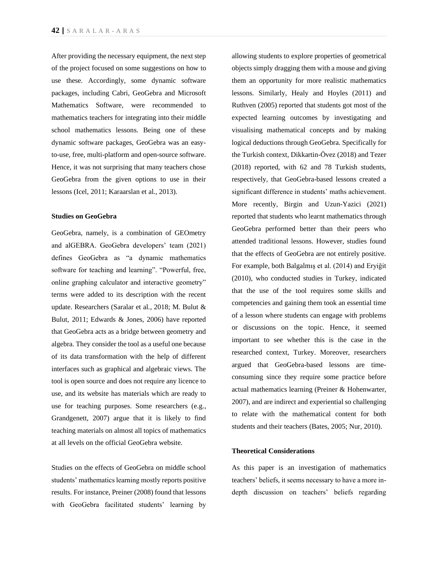After providing the necessary equipment, the next step of the project focused on some suggestions on how to use these. Accordingly, some dynamic software packages, including Cabri, GeoGebra and Microsoft Mathematics Software, were recommended to mathematics teachers for integrating into their middle school mathematics lessons. Being one of these dynamic software packages, GeoGebra was an easyto-use, free, multi-platform and open-source software. Hence, it was not surprising that many teachers chose GeoGebra from the given options to use in their lessons (Icel, 2011; Karaarslan et al., 2013).

## **Studies on GeoGebra**

GeoGebra, namely, is a combination of GEOmetry and alGEBRA. GeoGebra developers' team (2021) defines GeoGebra as "a dynamic mathematics software for teaching and learning". "Powerful, free, online graphing calculator and interactive geometry" terms were added to its description with the recent update. Researchers (Saralar et al., 2018; M. Bulut & Bulut, 2011; Edwards & Jones, 2006) have reported that GeoGebra acts as a bridge between geometry and algebra. They consider the tool as a useful one because of its data transformation with the help of different interfaces such as graphical and algebraic views. The tool is open source and does not require any licence to use, and its website has materials which are ready to use for teaching purposes. Some researchers (e.g., Grandgenett, 2007) argue that it is likely to find teaching materials on almost all topics of mathematics at all levels on the official GeoGebra website.

Studies on the effects of GeoGebra on middle school students' mathematics learning mostly reports positive results. For instance, Preiner (2008) found that lessons with GeoGebra facilitated students' learning by allowing students to explore properties of geometrical objects simply dragging them with a mouse and giving them an opportunity for more realistic mathematics lessons. Similarly, Healy and Hoyles (2011) and Ruthven (2005) reported that students got most of the expected learning outcomes by investigating and visualising mathematical concepts and by making logical deductions through GeoGebra. Specifically for the Turkish context, Dikkartin-Övez (2018) and Tezer (2018) reported, with 62 and 78 Turkish students, respectively, that GeoGebra-based lessons created a significant difference in students' maths achievement. More recently, Birgin and Uzun-Yazici (2021) reported that students who learnt mathematics through GeoGebra performed better than their peers who attended traditional lessons. However, studies found that the effects of GeoGebra are not entirely positive. For example, both Balgalmış et al. (2014) and Eryiğit (2010), who conducted studies in Turkey, indicated that the use of the tool requires some skills and competencies and gaining them took an essential time of a lesson where students can engage with problems or discussions on the topic. Hence, it seemed important to see whether this is the case in the researched context, Turkey. Moreover, researchers argued that GeoGebra-based lessons are timeconsuming since they require some practice before actual mathematics learning (Preiner & Hohenwarter, 2007), and are indirect and experiential so challenging to relate with the mathematical content for both students and their teachers (Bates, 2005; Nur, 2010).

## **Theoretical Considerations**

As this paper is an investigation of mathematics teachers' beliefs, it seems necessary to have a more indepth discussion on teachers' beliefs regarding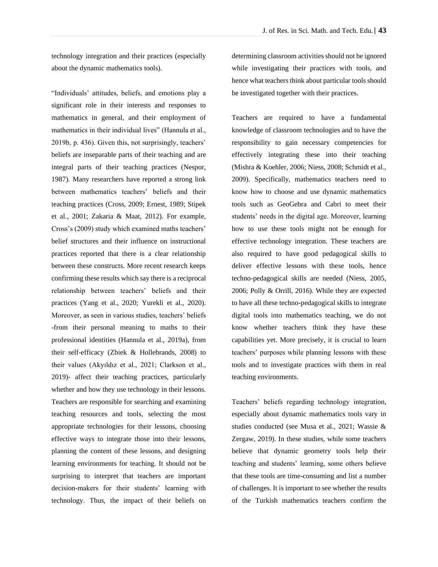technology integration and their practices (especially about the dynamic mathematics tools).

"Individuals' attitudes, beliefs, and emotions play a significant role in their interests and responses to mathematics in general, and their employment of mathematics in their individual lives" (Hannula et al., 2019b, p. 436). Given this, not surprisingly, teachers' beliefs are inseparable parts of their teaching and are integral parts of their teaching practices (Nespor, 1987). Many researchers have reported a strong link between mathematics teachers' beliefs and their teaching practices (Cross, 2009; Ernest, 1989; Stipek et al., 2001; Zakaria & Maat, 2012). For example, Cross's (2009) study which examined maths teachers' belief structures and their influence on instructional practices reported that there is a clear relationship between these constructs. More recent research keeps confirming these results which say there is a reciprocal relationship between teachers' beliefs and their practices (Yang et al., 2020; Yurekli et al., 2020). Moreover, as seen in various studies, teachers' beliefs -from their personal meaning to maths to their professional identities (Hannula et al., 2019a), from their self-efficacy (Zbiek & Hollebrands, 2008) to their values (Akyıldız et al., 2021; Clarkson et al., 2019)- affect their teaching practices, particularly whether and how they use technology in their lessons. Teachers are responsible for searching and examining teaching resources and tools, selecting the most appropriate technologies for their lessons, choosing effective ways to integrate those into their lessons, planning the content of these lessons, and designing learning environments for teaching. It should not be surprising to interpret that teachers are important decision-makers for their students' learning with technology. Thus, the impact of their beliefs on

determining classroom activities should not be ignored while investigating their practices with tools, and hence what teachers think about particular tools should be investigated together with their practices.

Teachers are required to have a fundamental knowledge of classroom technologies and to have the responsibility to gain necessary competencies for effectively integrating these into their teaching (Mishra & Koehler, 2006; Niess, 2008; Schmidt et al., 2009). Specifically, mathematics teachers need to know how to choose and use dynamic mathematics tools such as GeoGebra and Cabri to meet their students' needs in the digital age. Moreover, learning how to use these tools might not be enough for effective technology integration. These teachers are also required to have good pedagogical skills to deliver effective lessons with these tools, hence techno-pedagogical skills are needed (Niess, 2005, 2006; Polly & Orrill, 2016). While they are expected to have all these techno-pedagogical skills to integrate digital tools into mathematics teaching, we do not know whether teachers think they have these capabilities yet. More precisely, it is crucial to learn teachers' purposes while planning lessons with these tools and to investigate practices with them in real teaching environments.

Teachers' beliefs regarding technology integration, especially about dynamic mathematics tools vary in studies conducted (see Musa et al., 2021; Wassie & Zergaw, 2019). In these studies, while some teachers believe that dynamic geometry tools help their teaching and students' learning, some others believe that these tools are time-consuming and list a number of challenges. It is important to see whether the results of the Turkish mathematics teachers confirm the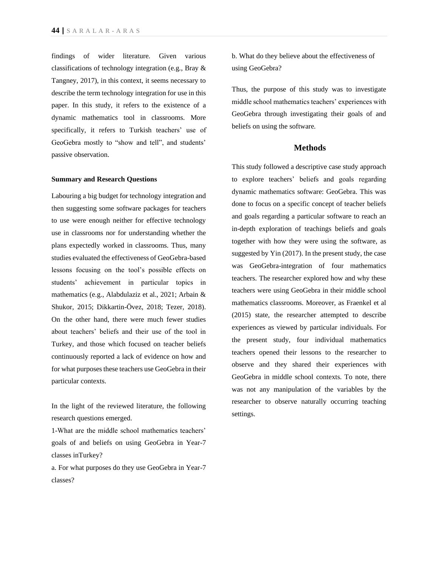findings of wider literature. Given various classifications of technology integration (e.g., Bray & Tangney, 2017), in this context, it seems necessary to describe the term technology integration for use in this paper. In this study, it refers to the existence of a dynamic mathematics tool in classrooms. More specifically, it refers to Turkish teachers' use of GeoGebra mostly to "show and tell", and students' passive observation.

#### **Summary and Research Questions**

Labouring a big budget for technology integration and then suggesting some software packages for teachers to use were enough neither for effective technology use in classrooms nor for understanding whether the plans expectedly worked in classrooms. Thus, many studies evaluated the effectiveness of GeoGebra-based lessons focusing on the tool's possible effects on students' achievement in particular topics in mathematics (e.g., Alabdulaziz et al., 2021; Arbain & Shukor, 2015; Dikkartin-Övez, 2018; Tezer, 2018). On the other hand, there were much fewer studies about teachers' beliefs and their use of the tool in Turkey, and those which focused on teacher beliefs continuously reported a lack of evidence on how and for what purposes these teachers use GeoGebra in their particular contexts.

In the light of the reviewed literature, the following research questions emerged.

1-What are the middle school mathematics teachers' goals of and beliefs on using GeoGebra in Year-7 classes inTurkey?

b. What do they believe about the effectiveness of using GeoGebra?

Thus, the purpose of this study was to investigate middle school mathematics teachers' experiences with GeoGebra through investigating their goals of and beliefs on using the software.

## **Methods**

This study followed a descriptive case study approach to explore teachers' beliefs and goals regarding dynamic mathematics software: GeoGebra. This was done to focus on a specific concept of teacher beliefs and goals regarding a particular software to reach an in-depth exploration of teachings beliefs and goals together with how they were using the software, as suggested by Yin (2017). In the present study, the case was GeoGebra-integration of four mathematics teachers. The researcher explored how and why these teachers were using GeoGebra in their middle school mathematics classrooms. Moreover, as Fraenkel et al (2015) state, the researcher attempted to describe experiences as viewed by particular individuals. For the present study, four individual mathematics teachers opened their lessons to the researcher to observe and they shared their experiences with GeoGebra in middle school contexts. To note, there was not any manipulation of the variables by the researcher to observe naturally occurring teaching settings.

a. For what purposes do they use GeoGebra in Year-7 classes?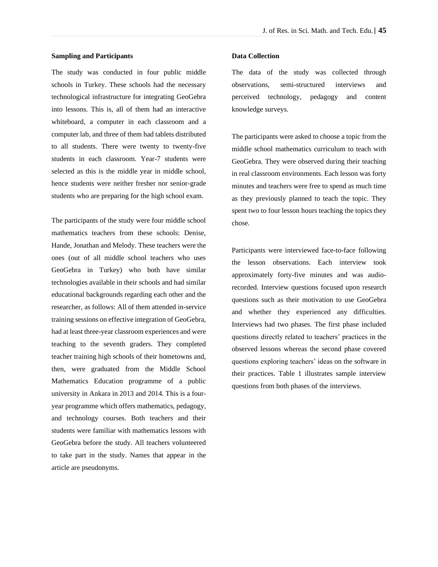### **Sampling and Participants**

The study was conducted in four public middle schools in Turkey. These schools had the necessary technological infrastructure for integrating GeoGebra into lessons. This is, all of them had an interactive whiteboard, a computer in each classroom and a computer lab, and three of them had tablets distributed to all students. There were twenty to twenty-five students in each classroom. Year-7 students were selected as this is the middle year in middle school, hence students were neither fresher nor senior-grade students who are preparing for the high school exam.

The participants of the study were four middle school mathematics teachers from these schools: Denise, Hande, Jonathan and Melody. These teachers were the ones (out of all middle school teachers who uses GeoGebra in Turkey) who both have similar technologies available in their schools and had similar educational backgrounds regarding each other and the researcher, as follows: All of them attended in-service training sessions on effective integration of GeoGebra, had at least three-year classroom experiences and were teaching to the seventh graders. They completed teacher training high schools of their hometowns and, then, were graduated from the Middle School Mathematics Education programme of a public university in Ankara in 2013 and 2014. This is a fouryear programme which offers mathematics, pedagogy, and technology courses. Both teachers and their students were familiar with mathematics lessons with GeoGebra before the study. All teachers volunteered to take part in the study. Names that appear in the article are pseudonyms.

### **Data Collection**

The data of the study was collected through observations, semi-structured interviews and perceived technology, pedagogy and content knowledge surveys.

The participants were asked to choose a topic from the middle school mathematics curriculum to teach with GeoGebra. They were observed during their teaching in real classroom environments. Each lesson was forty minutes and teachers were free to spend as much time as they previously planned to teach the topic. They spent two to four lesson hours teaching the topics they chose.

Participants were interviewed face-to-face following the lesson observations. Each interview took approximately forty-five minutes and was audiorecorded. Interview questions focused upon research questions such as their motivation to use GeoGebra and whether they experienced any difficulties. Interviews had two phases. The first phase included questions directly related to teachers' practices in the observed lessons whereas the second phase covered questions exploring teachers' ideas on the software in their practices. Table 1 illustrates sample interview questions from both phases of the interviews.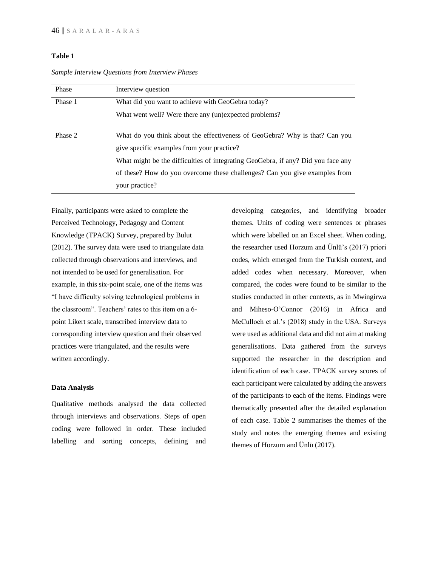## **Table 1**

| Phase   | Interview question                                                                                                        |  |  |
|---------|---------------------------------------------------------------------------------------------------------------------------|--|--|
| Phase 1 | What did you want to achieve with GeoGebra today?                                                                         |  |  |
|         | What went well? Were there any (un)expected problems?                                                                     |  |  |
| Phase 2 | What do you think about the effectiveness of GeoGebra? Why is that? Can you<br>give specific examples from your practice? |  |  |
|         | What might be the difficulties of integrating GeoGebra, if any? Did you face any                                          |  |  |
|         | of these? How do you overcome these challenges? Can you give examples from                                                |  |  |
|         | your practice?                                                                                                            |  |  |

*Sample Interview Questions from Interview Phases*

Finally, participants were asked to complete the Perceived Technology, Pedagogy and Content Knowledge (TPACK) Survey, prepared by Bulut (2012). The survey data were used to triangulate data collected through observations and interviews, and not intended to be used for generalisation. For example, in this six-point scale, one of the items was "I have difficulty solving technological problems in the classroom". Teachers' rates to this item on a 6 point Likert scale, transcribed interview data to corresponding interview question and their observed practices were triangulated, and the results were written accordingly.

### **Data Analysis**

Qualitative methods analysed the data collected through interviews and observations. Steps of open coding were followed in order. These included labelling and sorting concepts, defining and developing categories, and identifying broader themes. Units of coding were sentences or phrases which were labelled on an Excel sheet. When coding, the researcher used Horzum and Ünlü's (2017) priori codes, which emerged from the Turkish context, and added codes when necessary. Moreover, when compared, the codes were found to be similar to the studies conducted in other contexts, as in Mwingirwa and Miheso-O'Connor (2016) in Africa and McCulloch et al.'s (2018) study in the USA. Surveys were used as additional data and did not aim at making generalisations. Data gathered from the surveys supported the researcher in the description and identification of each case. TPACK survey scores of each participant were calculated by adding the answers of the participants to each of the items. Findings were thematically presented after the detailed explanation of each case. Table 2 summarises the themes of the study and notes the emerging themes and existing themes of Horzum and Ünlü (2017).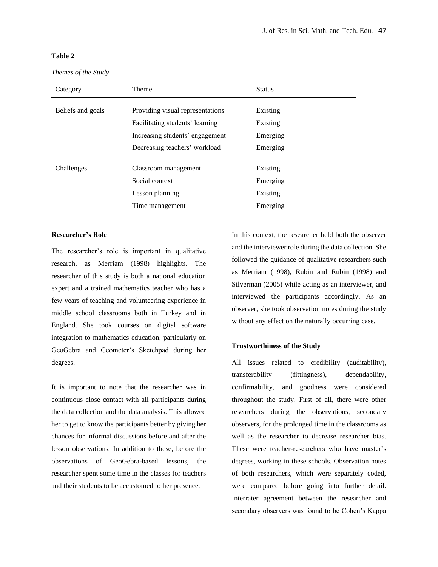# **Table 2**

*Themes of the Study* 

| Category          | Theme                            | <b>Status</b> |
|-------------------|----------------------------------|---------------|
| Beliefs and goals | Providing visual representations | Existing      |
|                   | Facilitating students' learning  | Existing      |
|                   | Increasing students' engagement  | Emerging      |
|                   | Decreasing teachers' workload    | Emerging      |
| Challenges        | Classroom management             | Existing      |
|                   | Social context                   | Emerging      |
|                   | Lesson planning                  | Existing      |
|                   | Time management                  | Emerging      |

### **Researcher's Role**

The researcher's role is important in qualitative research, as Merriam (1998) highlights. The researcher of this study is both a national education expert and a trained mathematics teacher who has a few years of teaching and volunteering experience in middle school classrooms both in Turkey and in England. She took courses on digital software integration to mathematics education, particularly on GeoGebra and Geometer's Sketchpad during her degrees.

It is important to note that the researcher was in continuous close contact with all participants during the data collection and the data analysis. This allowed her to get to know the participants better by giving her chances for informal discussions before and after the lesson observations. In addition to these, before the observations of GeoGebra-based lessons, the researcher spent some time in the classes for teachers and their students to be accustomed to her presence.

In this context, the researcher held both the observer and the interviewer role during the data collection. She followed the guidance of qualitative researchers such as Merriam (1998), Rubin and Rubin (1998) and Silverman (2005) while acting as an interviewer, and interviewed the participants accordingly. As an observer, she took observation notes during the study without any effect on the naturally occurring case.

## **Trustworthiness of the Study**

All issues related to credibility (auditability), transferability (fittingness), dependability, confirmability, and goodness were considered throughout the study. First of all, there were other researchers during the observations, secondary observers, for the prolonged time in the classrooms as well as the researcher to decrease researcher bias. These were teacher-researchers who have master's degrees, working in these schools. Observation notes of both researchers, which were separately coded, were compared before going into further detail. Interrater agreement between the researcher and secondary observers was found to be Cohen's Kappa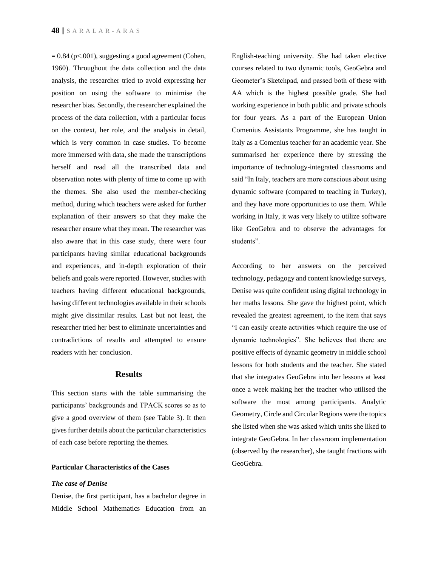$= 0.84$  (p<.001), suggesting a good agreement (Cohen, 1960). Throughout the data collection and the data analysis, the researcher tried to avoid expressing her position on using the software to minimise the researcher bias. Secondly, the researcher explained the process of the data collection, with a particular focus on the context, her role, and the analysis in detail, which is very common in case studies. To become more immersed with data, she made the transcriptions herself and read all the transcribed data and observation notes with plenty of time to come up with the themes. She also used the member-checking method, during which teachers were asked for further explanation of their answers so that they make the researcher ensure what they mean. The researcher was also aware that in this case study, there were four participants having similar educational backgrounds and experiences, and in-depth exploration of their beliefs and goals were reported. However, studies with teachers having different educational backgrounds, having different technologies available in their schools might give dissimilar results. Last but not least, the researcher tried her best to eliminate uncertainties and contradictions of results and attempted to ensure readers with her conclusion.

### **Results**

This section starts with the table summarising the participants' backgrounds and TPACK scores so as to give a good overview of them (see Table 3). It then gives further details about the particular characteristics of each case before reporting the themes.

## **Particular Characteristics of the Cases**

### *The case of Denise*

Denise, the first participant, has a bachelor degree in Middle School Mathematics Education from an English-teaching university. She had taken elective courses related to two dynamic tools, GeoGebra and Geometer's Sketchpad, and passed both of these with AA which is the highest possible grade. She had working experience in both public and private schools for four years. As a part of the European Union Comenius Assistants Programme, she has taught in Italy as a Comenius teacher for an academic year. She summarised her experience there by stressing the importance of technology-integrated classrooms and said "In Italy, teachers are more conscious about using dynamic software (compared to teaching in Turkey), and they have more opportunities to use them. While working in Italy, it was very likely to utilize software like GeoGebra and to observe the advantages for students".

According to her answers on the perceived technology, pedagogy and content knowledge surveys, Denise was quite confident using digital technology in her maths lessons. She gave the highest point, which revealed the greatest agreement, to the item that says "I can easily create activities which require the use of dynamic technologies". She believes that there are positive effects of dynamic geometry in middle school lessons for both students and the teacher. She stated that she integrates GeoGebra into her lessons at least once a week making her the teacher who utilised the software the most among participants. Analytic Geometry, Circle and Circular Regions were the topics she listed when she was asked which units she liked to integrate GeoGebra. In her classroom implementation (observed by the researcher), she taught fractions with GeoGebra.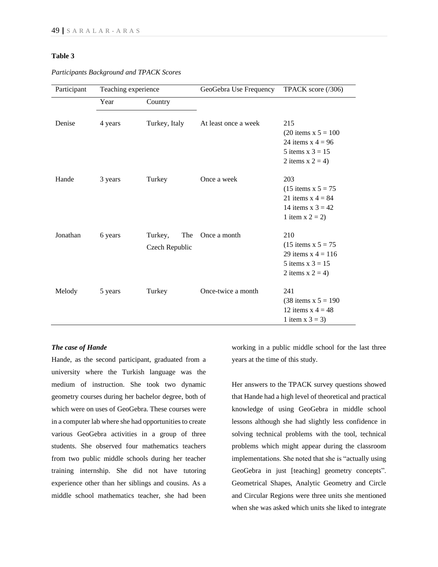## **Table 3**

| Participant | Teaching experience |                                  | GeoGebra Use Frequency | TPACK score $(7306)$                                                                              |
|-------------|---------------------|----------------------------------|------------------------|---------------------------------------------------------------------------------------------------|
|             | Year                | Country                          |                        |                                                                                                   |
| Denise      | 4 years             | Turkey, Italy                    | At least once a week   | 215<br>$(20$ items x 5 = 100<br>24 items $x = 4 = 96$                                             |
|             |                     |                                  |                        | 5 items $x$ 3 = 15<br>2 items $x 2 = 4$ )                                                         |
| Hande       | 3 years             | Turkey                           | Once a week            | 203<br>$(15$ items x $5 = 75$<br>21 items $x = 4 = 84$<br>14 items $x 3 = 42$<br>1 item $x 2 = 2$ |
| Jonathan    | 6 years             | The<br>Turkey,<br>Czech Republic | Once a month           | 210<br>$(15$ items x $5 = 75$<br>29 items $x = 116$<br>5 items $x$ 3 = 15<br>2 items $x 2 = 4$ )  |
| Melody      | 5 years             | Turkey                           | Once-twice a month     | 241<br>$(38$ items x $5 = 190$<br>12 items $x = 48$<br>1 item $x 3 = 3$ )                         |

*Participants Background and TPACK Scores*

## *The case of Hande*

Hande, as the second participant, graduated from a university where the Turkish language was the medium of instruction. She took two dynamic geometry courses during her bachelor degree, both of which were on uses of GeoGebra. These courses were in a computer lab where she had opportunities to create various GeoGebra activities in a group of three students. She observed four mathematics teachers from two public middle schools during her teacher training internship. She did not have tutoring experience other than her siblings and cousins. As a middle school mathematics teacher, she had been

working in a public middle school for the last three years at the time of this study.

Her answers to the TPACK survey questions showed that Hande had a high level of theoretical and practical knowledge of using GeoGebra in middle school lessons although she had slightly less confidence in solving technical problems with the tool, technical problems which might appear during the classroom implementations. She noted that she is "actually using GeoGebra in just [teaching] geometry concepts". Geometrical Shapes, Analytic Geometry and Circle and Circular Regions were three units she mentioned when she was asked which units she liked to integrate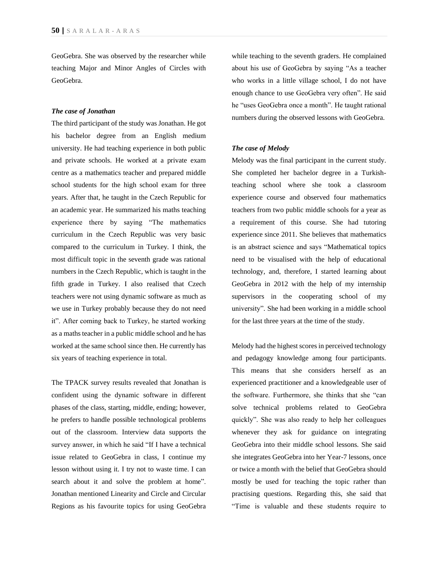GeoGebra. She was observed by the researcher while teaching Major and Minor Angles of Circles with GeoGebra.

### *The case of Jonathan*

The third participant of the study was Jonathan. He got his bachelor degree from an English medium university. He had teaching experience in both public and private schools. He worked at a private exam centre as a mathematics teacher and prepared middle school students for the high school exam for three years. After that, he taught in the Czech Republic for an academic year. He summarized his maths teaching experience there by saying "The mathematics curriculum in the Czech Republic was very basic compared to the curriculum in Turkey. I think, the most difficult topic in the seventh grade was rational numbers in the Czech Republic, which is taught in the fifth grade in Turkey. I also realised that Czech teachers were not using dynamic software as much as we use in Turkey probably because they do not need it". After coming back to Turkey, he started working as a maths teacher in a public middle school and he has worked at the same school since then. He currently has six years of teaching experience in total.

The TPACK survey results revealed that Jonathan is confident using the dynamic software in different phases of the class, starting, middle, ending; however, he prefers to handle possible technological problems out of the classroom. Interview data supports the survey answer, in which he said "If I have a technical issue related to GeoGebra in class, I continue my lesson without using it. I try not to waste time. I can search about it and solve the problem at home". Jonathan mentioned Linearity and Circle and Circular Regions as his favourite topics for using GeoGebra

while teaching to the seventh graders. He complained about his use of GeoGebra by saying "As a teacher who works in a little village school, I do not have enough chance to use GeoGebra very often". He said he "uses GeoGebra once a month". He taught rational numbers during the observed lessons with GeoGebra.

### *The case of Melody*

Melody was the final participant in the current study. She completed her bachelor degree in a Turkishteaching school where she took a classroom experience course and observed four mathematics teachers from two public middle schools for a year as a requirement of this course. She had tutoring experience since 2011. She believes that mathematics is an abstract science and says "Mathematical topics need to be visualised with the help of educational technology, and, therefore, I started learning about GeoGebra in 2012 with the help of my internship supervisors in the cooperating school of my university". She had been working in a middle school for the last three years at the time of the study.

Melody had the highest scores in perceived technology and pedagogy knowledge among four participants. This means that she considers herself as an experienced practitioner and a knowledgeable user of the software. Furthermore, she thinks that she "can solve technical problems related to GeoGebra quickly". She was also ready to help her colleagues whenever they ask for guidance on integrating GeoGebra into their middle school lessons. She said she integrates GeoGebra into her Year-7 lessons, once or twice a month with the belief that GeoGebra should mostly be used for teaching the topic rather than practising questions. Regarding this, she said that "Time is valuable and these students require to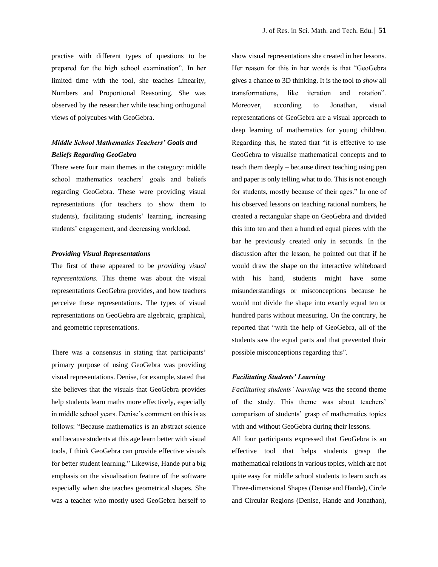practise with different types of questions to be prepared for the high school examination". In her limited time with the tool, she teaches Linearity, Numbers and Proportional Reasoning. She was observed by the researcher while teaching orthogonal views of polycubes with GeoGebra.

# *Middle School Mathematics Teachers' Goals and Beliefs Regarding GeoGebra*

There were four main themes in the category: middle school mathematics teachers' goals and beliefs regarding GeoGebra. These were providing visual representations (for teachers to show them to students), facilitating students' learning, increasing students' engagement, and decreasing workload.

### *Providing Visual Representations*

The first of these appeared to be *providing visual representations*. This theme was about the visual representations GeoGebra provides, and how teachers perceive these representations. The types of visual representations on GeoGebra are algebraic, graphical, and geometric representations.

There was a consensus in stating that participants' primary purpose of using GeoGebra was providing visual representations. Denise, for example, stated that she believes that the visuals that GeoGebra provides help students learn maths more effectively, especially in middle school years. Denise's comment on this is as follows: "Because mathematics is an abstract science and because students at this age learn better with visual tools, I think GeoGebra can provide effective visuals for better student learning." Likewise, Hande put a big emphasis on the visualisation feature of the software especially when she teaches geometrical shapes. She was a teacher who mostly used GeoGebra herself to

show visual representations she created in her lessons. Her reason for this in her words is that "GeoGebra gives a chance to 3D thinking. It is the tool to *show* all transformations, like iteration and rotation". Moreover, according to Jonathan, visual representations of GeoGebra are a visual approach to deep learning of mathematics for young children. Regarding this, he stated that "it is effective to use GeoGebra to visualise mathematical concepts and to teach them deeply – because direct teaching using pen and paper is only telling what to do. This is not enough for students, mostly because of their ages." In one of his observed lessons on teaching rational numbers, he created a rectangular shape on GeoGebra and divided this into ten and then a hundred equal pieces with the bar he previously created only in seconds. In the discussion after the lesson, he pointed out that if he would draw the shape on the interactive whiteboard with his hand, students might have some misunderstandings or misconceptions because he would not divide the shape into exactly equal ten or hundred parts without measuring. On the contrary, he reported that "with the help of GeoGebra, all of the students saw the equal parts and that prevented their possible misconceptions regarding this".

## *Facilitating Students' Learning*

*Facilitating students' learning* was the second theme of the study. This theme was about teachers' comparison of students' grasp of mathematics topics with and without GeoGebra during their lessons.

All four participants expressed that GeoGebra is an effective tool that helps students grasp the mathematical relations in various topics, which are not quite easy for middle school students to learn such as Three-dimensional Shapes (Denise and Hande), Circle and Circular Regions (Denise, Hande and Jonathan),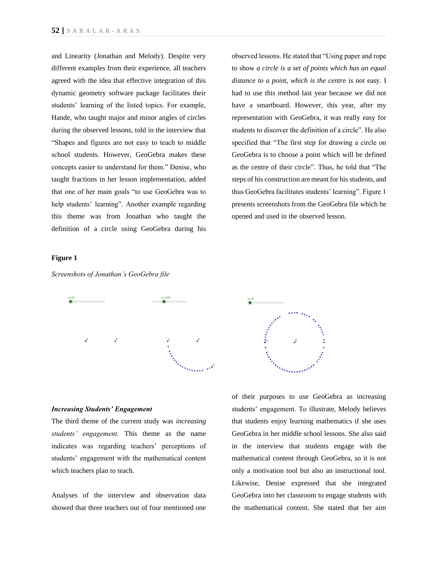and Linearity (Jonathan and Melody). Despite very different examples from their experience, all teachers agreed with the idea that effective integration of this dynamic geometry software package facilitates their students' learning of the listed topics. For example, Hande, who taught major and minor angles of circles during the observed lessons, told in the interview that "Shapes and figures are not easy to teach to middle school students. However, GeoGebra makes these concepts easier to understand for them." Denise, who taught fractions in her lesson implementation, added that one of her main goals "to use GeoGebra was to help students' learning". Another example regarding this theme was from Jonathan who taught the definition of a circle using GeoGebra during his

observed lessons. He stated that "Using paper and rope to show *a circle is a set of points which has an equal distance to a point, which is the centre* is not easy. I had to use this method last year because we did not have a smartboard. However, this year, after my representation with GeoGebra, it was really easy for students to discover the definition of a circle". He also specified that "The first step for drawing a circle on GeoGebra is to choose a point which will be defined as the centre of their circle". Thus, he told that "The steps of his construction are meant for his students, and thus GeoGebra facilitates students' learning". Figure 1 presents screenshots from the GeoGebra file which he opened and used in the observed lesson.

### **Figure 1**

*Screenshots of Jonathan's GeoGebra file* 





### *Increasing Students' Engagement*

The third theme of the current study was *increasing students' engagement.* This theme as the name indicates was regarding teachers' perceptions of students' engagement with the mathematical content which teachers plan to teach.

Analyses of the interview and observation data showed that three teachers out of four mentioned one of their purposes to use GeoGebra as increasing students' engagement. To illustrate, Melody believes that students enjoy learning mathematics if she uses GeoGebra in her middle school lessons. She also said in the interview that students engage with the mathematical content through GeoGebra, so it is not only a motivation tool but also an instructional tool. Likewise, Denise expressed that she integrated GeoGebra into her classroom to engage students with the mathematical content. She stated that her aim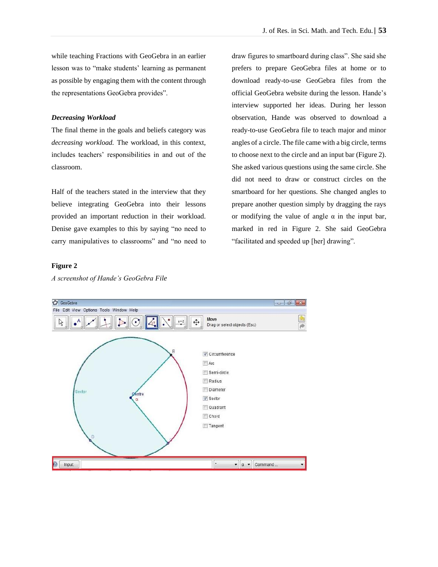while teaching Fractions with GeoGebra in an earlier lesson was to "make students' learning as permanent as possible by engaging them with the content through the representations GeoGebra provides".

## *Decreasing Workload*

The final theme in the goals and beliefs category was *decreasing workload.* The workload, in this context, includes teachers' responsibilities in and out of the classroom.

Half of the teachers stated in the interview that they believe integrating GeoGebra into their lessons provided an important reduction in their workload. Denise gave examples to this by saying "no need to carry manipulatives to classrooms" and "no need to draw figures to smartboard during class". She said she prefers to prepare GeoGebra files at home or to download ready-to-use GeoGebra files from the official GeoGebra website during the lesson. Hande's interview supported her ideas. During her lesson observation, Hande was observed to download a ready-to-use GeoGebra file to teach major and minor angles of a circle. The file came with a big circle, terms to choose next to the circle and an input bar (Figure 2). She asked various questions using the same circle. She did not need to draw or construct circles on the smartboard for her questions. She changed angles to prepare another question simply by dragging the rays or modifying the value of angle  $\alpha$  in the input bar, marked in red in Figure 2. She said GeoGebra "facilitated and speeded up [her] drawing".

## **Figure 2**



*A screenshot of Hande's GeoGebra File*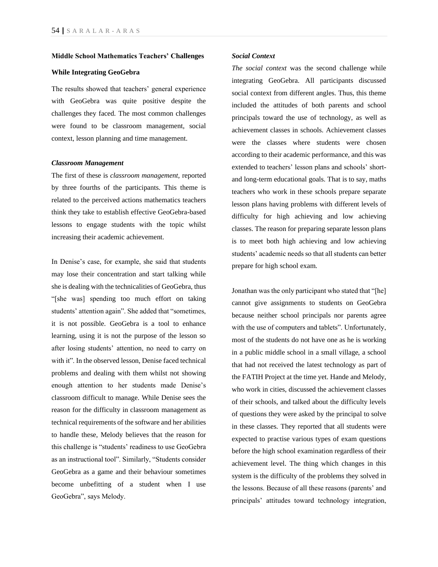### **Middle School Mathematics Teachers' Challenges**

### **While Integrating GeoGebra**

The results showed that teachers' general experience with GeoGebra was quite positive despite the challenges they faced. The most common challenges were found to be classroom management, social context, lesson planning and time management.

### *Classroom Management*

The first of these is *classroom management*, reported by three fourths of the participants. This theme is related to the perceived actions mathematics teachers think they take to establish effective GeoGebra-based lessons to engage students with the topic whilst increasing their academic achievement.

In Denise's case, for example, she said that students may lose their concentration and start talking while she is dealing with the technicalities of GeoGebra, thus "[she was] spending too much effort on taking students' attention again". She added that "sometimes, it is not possible. GeoGebra is a tool to enhance learning, using it is not the purpose of the lesson so after losing students' attention, no need to carry on with it". In the observed lesson, Denise faced technical problems and dealing with them whilst not showing enough attention to her students made Denise's classroom difficult to manage. While Denise sees the reason for the difficulty in classroom management as technical requirements of the software and her abilities to handle these, Melody believes that the reason for this challenge is "students' readiness to use GeoGebra as an instructional tool". Similarly, "Students consider GeoGebra as a game and their behaviour sometimes become unbefitting of a student when I use GeoGebra", says Melody.

## *Social Context*

*The social context* was the second challenge while integrating GeoGebra. All participants discussed social context from different angles. Thus, this theme included the attitudes of both parents and school principals toward the use of technology, as well as achievement classes in schools. Achievement classes were the classes where students were chosen according to their academic performance, and this was extended to teachers' lesson plans and schools' shortand long-term educational goals. That is to say, maths teachers who work in these schools prepare separate lesson plans having problems with different levels of difficulty for high achieving and low achieving classes. The reason for preparing separate lesson plans is to meet both high achieving and low achieving students' academic needs so that all students can better prepare for high school exam.

Jonathan was the only participant who stated that "[he] cannot give assignments to students on GeoGebra because neither school principals nor parents agree with the use of computers and tablets". Unfortunately, most of the students do not have one as he is working in a public middle school in a small village, a school that had not received the latest technology as part of the FATIH Project at the time yet. Hande and Melody, who work in cities, discussed the achievement classes of their schools, and talked about the difficulty levels of questions they were asked by the principal to solve in these classes. They reported that all students were expected to practise various types of exam questions before the high school examination regardless of their achievement level. The thing which changes in this system is the difficulty of the problems they solved in the lessons. Because of all these reasons (parents' and principals' attitudes toward technology integration,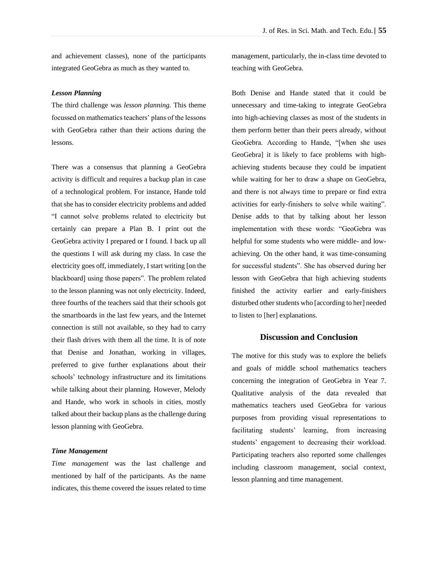and achievement classes), none of the participants integrated GeoGebra as much as they wanted to.

### *Lesson Planning*

The third challenge was *lesson planning.* This theme focussed on mathematics teachers' plans of the lessons with GeoGebra rather than their actions during the lessons.

There was a consensus that planning a GeoGebra activity is difficult and requires a backup plan in case of a technological problem. For instance, Hande told that she has to consider electricity problems and added "I cannot solve problems related to electricity but certainly can prepare a Plan B. I print out the GeoGebra activity I prepared or I found. I back up all the questions I will ask during my class. In case the electricity goes off, immediately, I start writing [on the blackboard] using those papers". The problem related to the lesson planning was not only electricity. Indeed, three fourths of the teachers said that their schools got the smartboards in the last few years, and the Internet connection is still not available, so they had to carry their flash drives with them all the time. It is of note that Denise and Jonathan, working in villages, preferred to give further explanations about their schools' technology infrastructure and its limitations while talking about their planning. However, Melody and Hande, who work in schools in cities, mostly talked about their backup plans as the challenge during lesson planning with GeoGebra.

### *Time Management*

*Time management* was the last challenge and mentioned by half of the participants. As the name indicates, this theme covered the issues related to time management, particularly, the in-class time devoted to teaching with GeoGebra.

Both Denise and Hande stated that it could be unnecessary and time-taking to integrate GeoGebra into high-achieving classes as most of the students in them perform better than their peers already, without GeoGebra. According to Hande, "[when she uses GeoGebra] it is likely to face problems with highachieving students because they could be impatient while waiting for her to draw a shape on GeoGebra, and there is not always time to prepare or find extra activities for early-finishers to solve while waiting". Denise adds to that by talking about her lesson implementation with these words: "GeoGebra was helpful for some students who were middle- and lowachieving. On the other hand, it was time-consuming for successful students". She has observed during her lesson with GeoGebra that high achieving students finished the activity earlier and early-finishers disturbed other students who [according to her] needed to listen to [her] explanations.

# **Discussion and Conclusion**

The motive for this study was to explore the beliefs and goals of middle school mathematics teachers concerning the integration of GeoGebra in Year 7. Qualitative analysis of the data revealed that mathematics teachers used GeoGebra for various purposes from providing visual representations to facilitating students' learning, from increasing students' engagement to decreasing their workload. Participating teachers also reported some challenges including classroom management, social context, lesson planning and time management.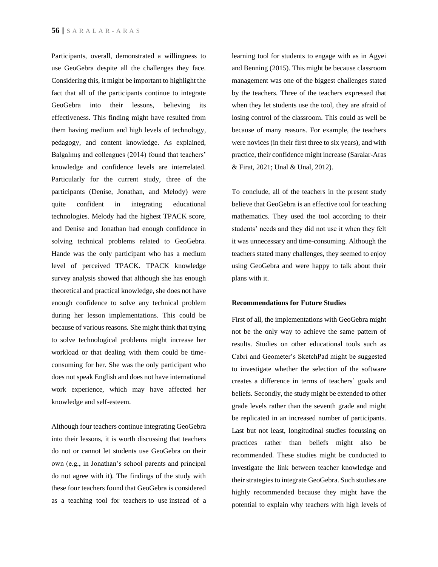Participants, overall, demonstrated a willingness to use GeoGebra despite all the challenges they face. Considering this, it might be important to highlight the fact that all of the participants continue to integrate GeoGebra into their lessons, believing its effectiveness. This finding might have resulted from them having medium and high levels of technology, pedagogy, and content knowledge. As explained, Balgalmış and colleagues (2014) found that teachers' knowledge and confidence levels are interrelated. Particularly for the current study, three of the participants (Denise, Jonathan, and Melody) were quite confident in integrating educational technologies. Melody had the highest TPACK score, and Denise and Jonathan had enough confidence in solving technical problems related to GeoGebra. Hande was the only participant who has a medium level of perceived TPACK. TPACK knowledge survey analysis showed that although she has enough theoretical and practical knowledge, she does not have enough confidence to solve any technical problem during her lesson implementations. This could be because of various reasons. She might think that trying to solve technological problems might increase her workload or that dealing with them could be timeconsuming for her. She was the only participant who does not speak English and does not have international work experience, which may have affected her knowledge and self-esteem.

Although four teachers continue integrating GeoGebra into their lessons, it is worth discussing that teachers do not or cannot let students use GeoGebra on their own (e.g., in Jonathan's school parents and principal do not agree with it). The findings of the study with these four teachers found that GeoGebra is considered as a teaching tool for teachers to use instead of a learning tool for students to engage with as in Agyei and Benning (2015). This might be because classroom management was one of the biggest challenges stated by the teachers. Three of the teachers expressed that when they let students use the tool, they are afraid of losing control of the classroom. This could as well be because of many reasons. For example, the teachers were novices (in their first three to six years), and with practice, their confidence might increase (Saralar-Aras & Firat, 2021; Unal & Unal, 2012).

To conclude, all of the teachers in the present study believe that GeoGebra is an effective tool for teaching mathematics. They used the tool according to their students' needs and they did not use it when they felt it was unnecessary and time-consuming. Although the teachers stated many challenges, they seemed to enjoy using GeoGebra and were happy to talk about their plans with it.

## **Recommendations for Future Studies**

First of all, the implementations with GeoGebra might not be the only way to achieve the same pattern of results. Studies on other educational tools such as Cabri and Geometer's SketchPad might be suggested to investigate whether the selection of the software creates a difference in terms of teachers' goals and beliefs. Secondly, the study might be extended to other grade levels rather than the seventh grade and might be replicated in an increased number of participants. Last but not least, longitudinal studies focussing on practices rather than beliefs might also be recommended. These studies might be conducted to investigate the link between teacher knowledge and their strategies to integrate GeoGebra. Such studies are highly recommended because they might have the potential to explain why teachers with high levels of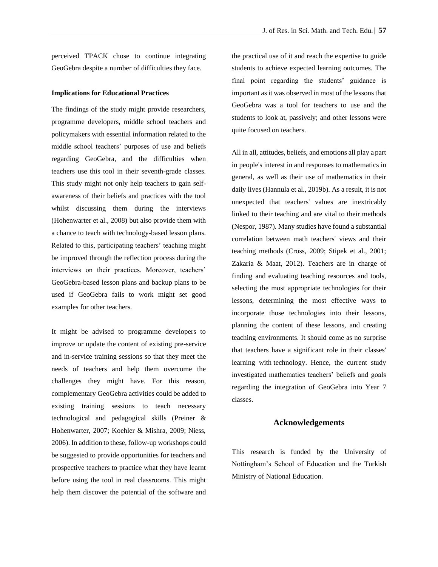perceived TPACK chose to continue integrating GeoGebra despite a number of difficulties they face.

## **Implications for Educational Practices**

The findings of the study might provide researchers, programme developers, middle school teachers and policymakers with essential information related to the middle school teachers' purposes of use and beliefs regarding GeoGebra, and the difficulties when teachers use this tool in their seventh-grade classes. This study might not only help teachers to gain selfawareness of their beliefs and practices with the tool whilst discussing them during the interviews (Hohenwarter et al., 2008) but also provide them with a chance to teach with technology-based lesson plans. Related to this, participating teachers' teaching might be improved through the reflection process during the interviews on their practices. Moreover, teachers' GeoGebra-based lesson plans and backup plans to be used if GeoGebra fails to work might set good examples for other teachers.

It might be advised to programme developers to improve or update the content of existing pre-service and in-service training sessions so that they meet the needs of teachers and help them overcome the challenges they might have. For this reason, complementary GeoGebra activities could be added to existing training sessions to teach necessary technological and pedagogical skills (Preiner & Hohenwarter, 2007; Koehler & Mishra, 2009; Niess, 2006). In addition to these, follow-up workshops could be suggested to provide opportunities for teachers and prospective teachers to practice what they have learnt before using the tool in real classrooms. This might help them discover the potential of the software and

the practical use of it and reach the expertise to guide students to achieve expected learning outcomes. The final point regarding the students' guidance is important as it was observed in most of the lessons that GeoGebra was a tool for teachers to use and the students to look at, passively; and other lessons were quite focused on teachers.

All in all, attitudes, beliefs, and emotions all play a part in people's interest in and responses to mathematics in general, as well as their use of mathematics in their daily lives (Hannula et al., 2019b). As a result, it is not unexpected that teachers' values are inextricably linked to their teaching and are vital to their methods (Nespor, 1987). Many studies have found a substantial correlation between math teachers' views and their teaching methods (Cross, 2009; Stipek et al., 2001; Zakaria & Maat, 2012). Teachers are in charge of finding and evaluating teaching resources and tools, selecting the most appropriate technologies for their lessons, determining the most effective ways to incorporate those technologies into their lessons, planning the content of these lessons, and creating teaching environments. It should come as no surprise that teachers have a significant role in their classes' learning with technology. Hence, the current study investigated mathematics teachers' beliefs and goals regarding the integration of GeoGebra into Year 7 classes.

## **Acknowledgements**

This research is funded by the University of Nottingham's School of Education and the Turkish Ministry of National Education.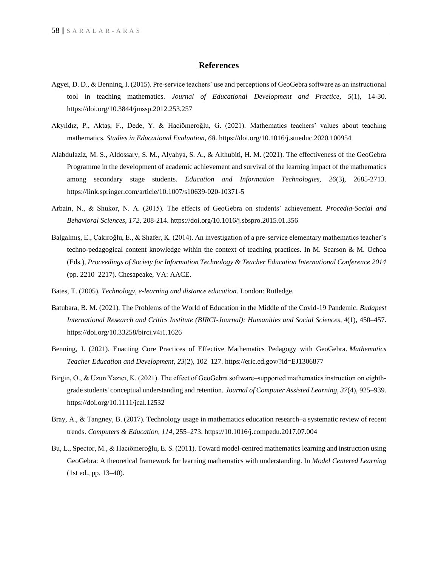## **References**

- Agyei, D. D., & Benning, I. (2015). Pre-service teachers' use and perceptions of GeoGebra software as an instructional tool in teaching mathematics. *Journal of Educational Development and Practice, 5*(1), 14-30. https://doi.org/10.3844/jmssp.2012.253.257
- Akyıldız, P., Aktaş, F., Dede, Y. & Haciömeroğlu, G. (2021). Mathematics teachers' values about teaching mathematics. *Studies in Educational Evaluation, 68*. https://doi.org/10.1016/j.stueduc.2020.100954
- Alabdulaziz, M. S., Aldossary, S. M., Alyahya, S. A., & Althubiti, H. M. (2021). The effectiveness of the GeoGebra Programme in the development of academic achievement and survival of the learning impact of the mathematics among secondary stage students. *Education and Information Technologies, 26*(3), 2685-2713. https://link.springer.com/article/10.1007/s10639-020-10371-5
- Arbain, N., & Shukor, N. A. (2015). The effects of GeoGebra on students' achievement. *Procedia-Social and Behavioral Sciences, 172,* 208-214. https://doi.org/10.1016/j.sbspro.2015.01.356
- Balgalmış, E., Çakıroğlu, E., & Shafer, K. (2014). An investigation of a pre-service elementary mathematics teacher's techno-pedagogical content knowledge within the context of teaching practices. In M. Searson & M. Ochoa (Eds.), *Proceedings of Society for Information Technology & Teacher Education International Conference 2014* (pp. 2210–2217). Chesapeake, VA: AACE.
- Bates, T. (2005). *Technology, e-learning and distance education*. London: Rutledge.
- Batubara, B. M. (2021). The Problems of the World of Education in the Middle of the Covid-19 Pandemic. *Budapest International Research and Critics Institute (BIRCI-Journal): Humanities and Social Sciences*, *4*(1), 450–457. https://doi.org/10.33258/birci.v4i1.1626
- Benning, I. (2021). Enacting Core Practices of Effective Mathematics Pedagogy with GeoGebra. *Mathematics Teacher Education and Development*, *23*(2), 102–127. https://eric.ed.gov/?id=EJ1306877
- Birgin, O., & Uzun Yazıcı, K. (2021). The effect of GeoGebra software–supported mathematics instruction on eighthgrade students' conceptual understanding and retention. *Journal of Computer Assisted Learning, 37*(4), 925–939. https://doi.org/10.1111/jcal.12532
- Bray, A., & Tangney, B. (2017). Technology usage in mathematics education research–a systematic review of recent trends. *Computers & Education, 114*, 255–273. https://10.1016/j.compedu.2017.07.004
- Bu, L., Spector, M., & Hacıömeroğlu, E. S. (2011). Toward model-centred mathematics learning and instruction using GeoGebra: A theoretical framework for learning mathematics with understanding. In *Model Centered Learning* (1st ed., pp. 13–40).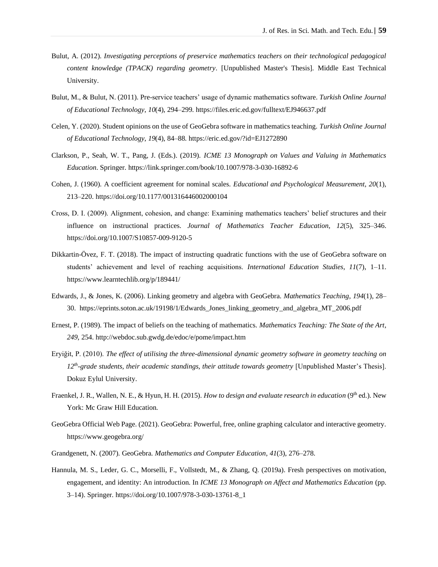- Bulut, A. (2012). *Investigating perceptions of preservice mathematics teachers on their technological pedagogical content knowledge (TPACK) regarding geometry*. [Unpublished Master's Thesis]. Middle East Technical University.
- Bulut, M., & Bulut, N. (2011). Pre-service teachers' usage of dynamic mathematics software. *Turkish Online Journal of Educational Technology*, *10*(4), 294–299. https://files.eric.ed.gov/fulltext/EJ946637.pdf
- Celen, Y. (2020). Student opinions on the use of GeoGebra software in mathematics teaching. *Turkish Online Journal of Educational Technology*, *19*(4), 84–88. https://eric.ed.gov/?id=EJ1272890
- Clarkson, P., Seah, W. T., Pang, J. (Eds.). (2019). *ICME 13 Monograph on Values and Valuing in Mathematics Education*. Springer. https://link.springer.com/book/10.1007/978-3-030-16892-6
- Cohen, J. (1960). A coefficient agreement for nominal scales. *Educational and Psychological Measurement, 20*(1), 213–220. https://doi.org/10.1177/001316446002000104
- Cross, D. I. (2009). Alignment, cohesion, and change: Examining mathematics teachers' belief structures and their influence on instructional practices. *Journal of Mathematics Teacher Education*, *12*(5), 325–346. https://doi.org/10.1007/S10857-009-9120-5
- Dikkartin-Övez, F. T. (2018). The impact of instructing quadratic functions with the use of GeoGebra software on students' achievement and level of reaching acquisitions. *International Education Studies*, *11*(7), 1–11. https://www.learntechlib.org/p/189441/
- Edwards, J., & Jones, K. (2006). Linking geometry and algebra with GeoGebra. *Mathematics Teaching*, *194*(1), 28– 30. https://eprints.soton.ac.uk/19198/1/Edwards\_Jones\_linking\_geometry\_and\_algebra\_MT\_2006.pdf
- Ernest, P. (1989). The impact of beliefs on the teaching of mathematics. *Mathematics Teaching: The State of the Art*, *249*, 254. http://webdoc.sub.gwdg.de/edoc/e/pome/impact.htm
- Eryiğit, P. (2010). *The effect of utilising the three-dimensional dynamic geometry software in geometry teaching on 12th -grade students, their academic standings, their attitude towards geometry* [Unpublished Master's Thesis]. Dokuz Eylul University.
- Fraenkel, J. R., Wallen, N. E., & Hyun, H. H. (2015). *How to design and evaluate research in education* (9<sup>th</sup> ed.). New York: Mc Graw Hill Education.
- GeoGebra Official Web Page. (2021). GeoGebra: Powerful, free, online graphing calculator and interactive geometry. https://www.geogebra.org/
- Grandgenett, N. (2007). GeoGebra. *Mathematics and Computer Education*, *41*(3), 276–278.
- Hannula, M. S., Leder, G. C., Morselli, F., Vollstedt, M., & Zhang, Q. (2019a). Fresh perspectives on motivation, engagement, and identity: An introduction. In *ICME 13 Monograph on Affect and Mathematics Education* (pp. 3–14). Springer. https://doi.org/10.1007/978-3-030-13761-8\_1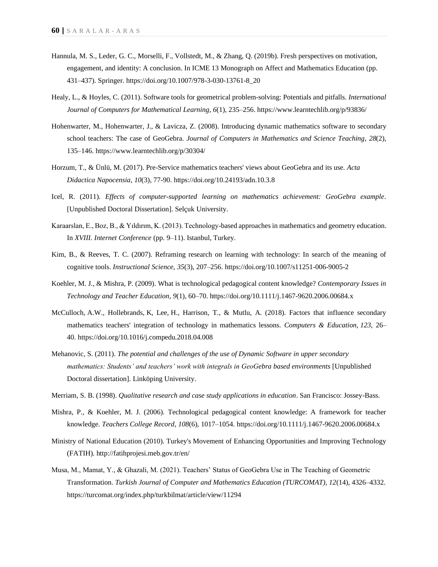- Hannula, M. S., Leder, G. C., Morselli, F., Vollstedt, M., & Zhang, Q. (2019b). Fresh perspectives on motivation, engagement, and identity: A conclusion. In ICME 13 Monograph on Affect and Mathematics Education (pp. 431–437). Springer. https://doi.org/10.1007/978-3-030-13761-8\_20
- Healy, L., & Hoyles, C. (2011). Software tools for geometrical problem-solving: Potentials and pitfalls. *International Journal of Computers for Mathematical Learning*, *6*(1), 235–256. https://www.learntechlib.org/p/93836/
- Hohenwarter, M., Hohenwarter, J., & Lavicza, Z. (2008). Introducing dynamic mathematics software to secondary school teachers: The case of GeoGebra. *Journal of Computers in Mathematics and Science Teaching*, *28*(2), 135–146. https://www.learntechlib.org/p/30304/
- Horzum, T., & Ünlü, M. (2017). Pre-Service mathematics teachers' views about GeoGebra and its use. *Acta Didactica Napocensia*, *10*(3), 77-90. https://doi.org/10.24193/adn.10.3.8
- Icel, R. (2011). *Effects of computer-supported learning on mathematics achievement: GeoGebra example*. [Unpublished Doctoral Dissertation]. Selçuk University.
- Karaarslan, E., Boz, B., & Yıldırım, K. (2013). Technology-based approaches in mathematics and geometry education. In *XVIII. Internet Conference* (pp. 9–11). Istanbul, Turkey.
- Kim, B., & Reeves, T. C. (2007). Reframing research on learning with technology: In search of the meaning of cognitive tools. *Instructional Science*, *35*(3), 207–256. https://doi.org/10.1007/s11251-006-9005-2
- Koehler, M. J., & Mishra, P. (2009). What is technological pedagogical content knowledge? *Contemporary Issues in Technology and Teacher Education*, *9*(1), 60–70. https://doi.org/10.1111/j.1467-9620.2006.00684.x
- McCulloch, A.W., Hollebrands, K, Lee, H., Harrison, T., & Mutlu, A. (2018). Factors that influence secondary mathematics teachers' integration of technology in mathematics lessons. *Computers & Education, 123,* 26– 40. https://doi.org/10.1016/j.compedu.2018.04.008
- Mehanovic, S. (2011). *The potential and challenges of the use of Dynamic Software in upper secondary mathematics: Students' and teachers' work with integrals in GeoGebra based environments* [Unpublished Doctoral dissertation]. Linköping University.
- Merriam, S. B. (1998). *Qualitative research and case study applications in education*. San Francisco: Jossey-Bass.
- Mishra, P., & Koehler, M. J. (2006). Technological pedagogical content knowledge: A framework for teacher knowledge. *Teachers College Record*, *108*(6), 1017–1054. https://doi.org/10.1111/j.1467-9620.2006.00684.x
- Ministry of National Education (2010). Turkey's Movement of Enhancing Opportunities and Improving Technology (FATIH). http://fatihprojesi.meb.gov.tr/en/
- Musa, M., Mamat, Y., & Ghazali, M. (2021). Teachers' Status of GeoGebra Use in The Teaching of Geometric Transformation. *Turkish Journal of Computer and Mathematics Education (TURCOMAT), 12*(14), 4326–4332. https://turcomat.org/index.php/turkbilmat/article/view/11294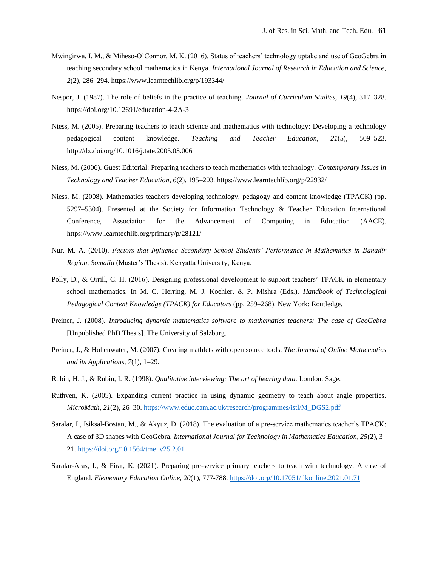- Mwingirwa, I. M., & Miheso-O'Connor, M. K. (2016). Status of teachers' technology uptake and use of GeoGebra in teaching secondary school mathematics in Kenya. *International Journal of Research in Education and Science*, *2*(2), 286–294. https://www.learntechlib.org/p/193344/
- Nespor, J. (1987). The role of beliefs in the practice of teaching. *Journal of Curriculum Studies*, *19*(4), 317–328. https://doi.org/10.12691/education-4-2A-3
- Niess, M. (2005). Preparing teachers to teach science and mathematics with technology: Developing a technology pedagogical content knowledge. *Teaching and Teacher Education*, *21*(5), 509–523. http://dx.doi.org/10.1016/j.tate.2005.03.006
- Niess, M. (2006). Guest Editorial: Preparing teachers to teach mathematics with technology. *Contemporary Issues in Technology and Teacher Education*, *6*(2), 195–203. https://www.learntechlib.org/p/22932/
- Niess, M. (2008). Mathematics teachers developing technology, pedagogy and content knowledge (TPACK) (pp. 5297–5304). Presented at the Society for Information Technology & Teacher Education International Conference, Association for the Advancement of Computing in Education (AACE). https://www.learntechlib.org/primary/p/28121/
- Nur, M. A. (2010). *Factors that Influence Secondary School Students' Performance in Mathematics in Banadir Region, Somalia* (Master's Thesis). Kenyatta University, Kenya.
- Polly, D., & Orrill, C. H. (2016). Designing professional development to support teachers' TPACK in elementary school mathematics. In M. C. Herring, M. J. Koehler, & P. Mishra (Eds.), *Handbook of Technological Pedagogical Content Knowledge (TPACK) for Educators* (pp. 259–268). New York: Routledge.
- Preiner, J. (2008). *Introducing dynamic mathematics software to mathematics teachers: The case of GeoGebra* [Unpublished PhD Thesis]. The University of Salzburg.
- Preiner, J., & Hohenwater, M. (2007). Creating mathlets with open source tools. *The Journal of Online Mathematics and its Applications*, *7*(1), 1–29.
- Rubin, H. J., & Rubin, I. R. (1998). *Qualitative interviewing: The art of hearing data*. London: Sage.
- Ruthven, K. (2005). Expanding current practice in using dynamic geometry to teach about angle properties. *MicroMath*, *21*(2), 26–30. [https://www.educ.cam.ac.uk/research/programmes/istl/M\\_DGS2.pdf](https://www.educ.cam.ac.uk/research/programmes/istl/M_DGS2.pdf)
- Saralar, I., Isiksal-Bostan, M., & Akyuz, D. (2018). The evaluation of a pre-service mathematics teacher's TPACK: A case of 3D shapes with GeoGebra. *International Journal for Technology in Mathematics Education, 25*(2), 3– 21. [https://doi.org/10.1564/tme\\_v25.2.01](https://doi.org/10.1564/tme_v25.2.01)
- Saralar-Aras, I., & Firat, K. (2021). Preparing pre-service primary teachers to teach with technology: A case of England. *Elementary Education Online, 20*(1), 777-788. <https://doi.org/10.17051/ilkonline.2021.01.71>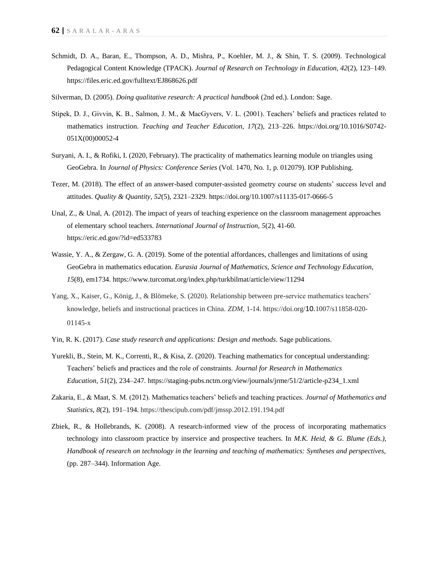- Schmidt, D. A., Baran, E., Thompson, A. D., Mishra, P., Koehler, M. J., & Shin, T. S. (2009). Technological Pedagogical Content Knowledge (TPACK). *Journal of Research on Technology in Education*, *42*(2), 123–149. https://files.eric.ed.gov/fulltext/EJ868626.pdf
- Silverman, D. (2005). *Doing qualitative research: A practical handbook* (2nd ed.). London: Sage.
- Stipek, D. J., Givvin, K. B., Salmon, J. M., & MacGyvers, V. L. (2001). Teachers' beliefs and practices related to mathematics instruction. *Teaching and Teacher Education*, *17*(2), 213–226. https://doi.org/10.1016/S0742- 051X(00)00052-4
- Suryani, A. I., & Rofiki, I. (2020, February). The practicality of mathematics learning module on triangles using GeoGebra. In *Journal of Physics: Conference Series* (Vol. 1470, No. 1, p. 012079). IOP Publishing.
- Tezer, M. (2018). The effect of an answer-based computer-assisted geometry course on students' success level and attitudes. *Quality & Quantity*, *52*(5), 2321–2329. https://doi.org/10.1007/s11135-017-0666-5
- Unal, Z., & Unal, A. (2012). The impact of years of teaching experience on the classroom management approaches of elementary school teachers. *International Journal of Instruction, 5*(2), 41-60. https://eric.ed.gov/?id=ed533783
- Wassie, Y. A., & Zergaw, G. A. (2019). Some of the potential affordances, challenges and limitations of using GeoGebra in mathematics education. *Eurasia Journal of Mathematics, Science and Technology Education, 15*(8), em1734. https://www.turcomat.org/index.php/turkbilmat/article/view/11294
- Yang, X., Kaiser, G., König, J., & Blömeke, S. (2020). Relationship between pre-service mathematics teachers' knowledge, beliefs and instructional practices in China. *ZDM*, 1-14. https://doi.org/10.1007/s11858-020- 01145-x
- Yin, R. K. (2017). *Case study research and applications: Design and methods*. Sage publications.
- Yurekli, B., Stein, M. K., Correnti, R., & Kisa, Z. (2020). Teaching mathematics for conceptual understanding: Teachers' beliefs and practices and the role of constraints. *Journal for Research in Mathematics Education*, *51*(2), 234–247. https://staging-pubs.nctm.org/view/journals/jrme/51/2/article-p234\_1.xml
- Zakaria, E., & Maat, S. M. (2012). Mathematics teachers' beliefs and teaching practices. *Journal of Mathematics and Statistics*, *8*(2), 191–194. https://thescipub.com/pdf/jmssp.2012.191.194.pdf
- Zbiek, R., & Hollebrands, K. (2008). A research-informed view of the process of incorporating mathematics technology into classroom practice by inservice and prospective teachers. In *M.K. Heid, & G. Blume (Eds.), Handbook of research on technology in the learning and teaching of mathematics: Syntheses and perspectives,* (pp. 287–344). Information Age.